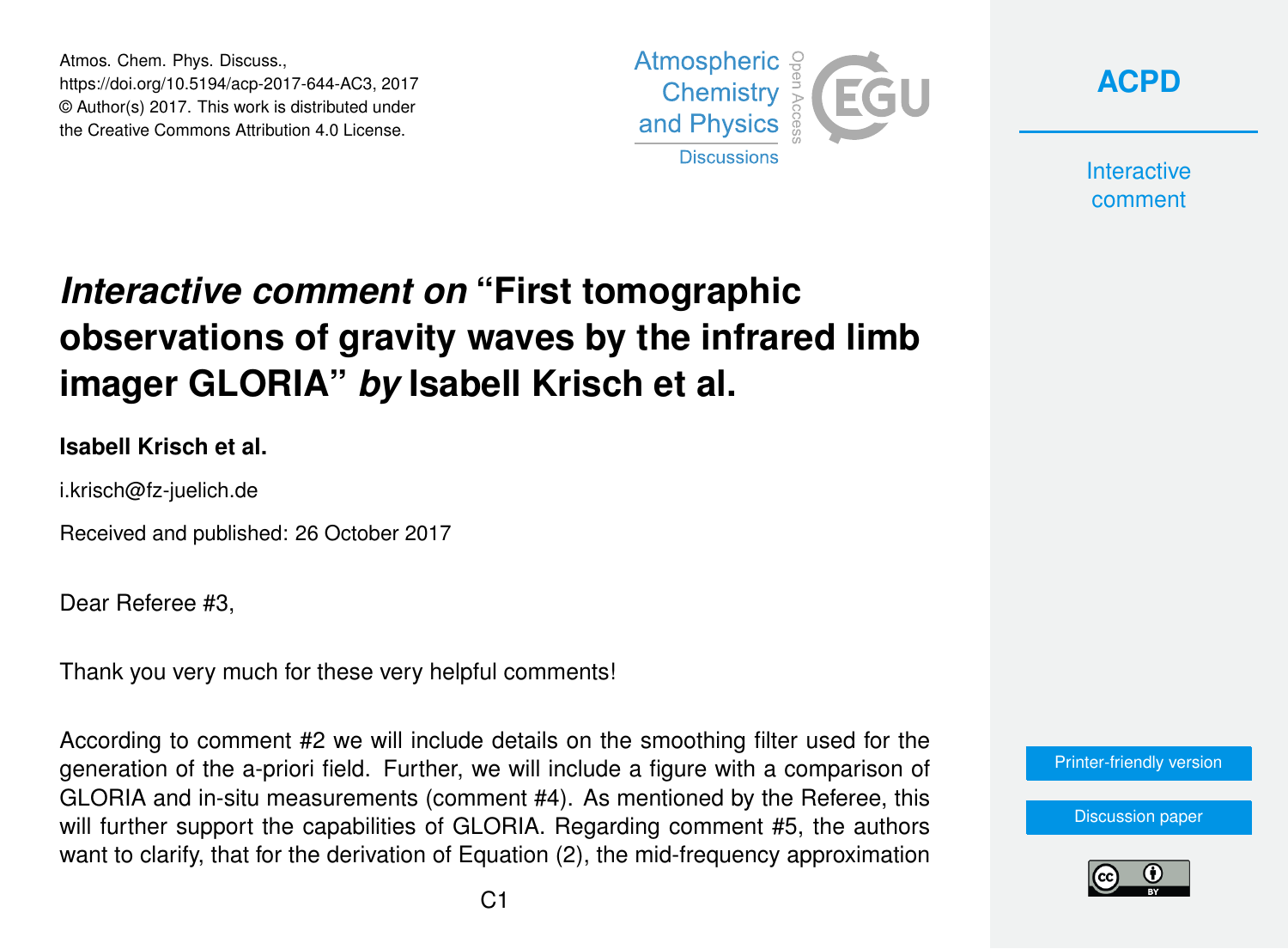Atmos. Chem. Phys. Discuss., https://doi.org/10.5194/acp-2017-644-AC3, 2017 © Author(s) 2017. This work is distributed under the Creative Commons Attribution 4.0 License.





**Interactive** comment

# *Interactive comment on* **"First tomographic observations of gravity waves by the infrared limb imager GLORIA"** *by* **Isabell Krisch et al.**

#### **Isabell Krisch et al.**

i.krisch@fz-juelich.de

Received and published: 26 October 2017

Dear Referee #3,

Thank you very much for these very helpful comments!

According to comment #2 we will include details on the smoothing filter used for the generation of the a-priori field. Further, we will include a figure with a comparison of GLORIA and in-situ measurements (comment #4). As mentioned by the Referee, this will further support the capabilities of GLORIA. Regarding comment #5, the authors want to clarify, that for the derivation of Equation (2), the mid-frequency approximation

[Printer-friendly version](https://www.atmos-chem-phys-discuss.net/acp-2017-644/acp-2017-644-AC3-print.pdf)

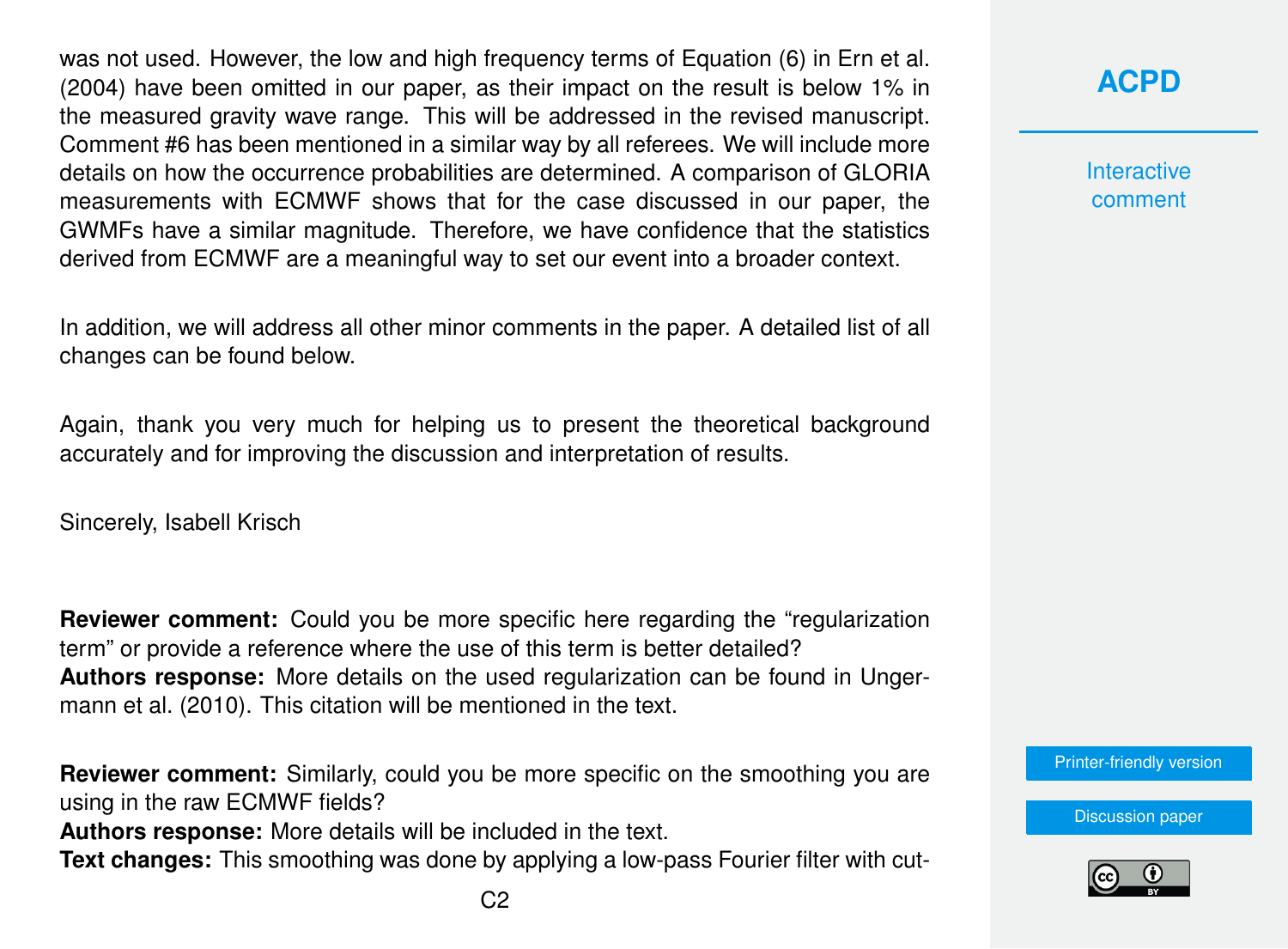was not used. However, the low and high frequency terms of Equation (6) in [Ern et al.](#page-5-0) [\(2004\)](#page-5-0) have been omitted in our paper, as their impact on the result is below 1% in the measured gravity wave range. This will be addressed in the revised manuscript. Comment #6 has been mentioned in a similar way by all referees. We will include more details on how the occurrence probabilities are determined. A comparison of GLORIA measurements with ECMWF shows that for the case discussed in our paper, the GWMFs have a similar magnitude. Therefore, we have confidence that the statistics derived from ECMWF are a meaningful way to set our event into a broader context.

In addition, we will address all other minor comments in the paper. A detailed list of all changes can be found below.

Again, thank you very much for helping us to present the theoretical background accurately and for improving the discussion and interpretation of results.

Sincerely, Isabell Krisch

**Reviewer comment:** Could you be more specific here regarding the "regularization term" or provide a reference where the use of this term is better detailed? **Authors response:** More details on the used regularization can be found in [Unger](#page-5-0)[mann et al.](#page-5-0) [\(2010\)](#page-5-0). This citation will be mentioned in the text.

**Reviewer comment:** Similarly, could you be more specific on the smoothing you are using in the raw ECMWF fields?

**Authors response:** More details will be included in the text.

**Text changes:** This smoothing was done by applying a low-pass Fourier filter with cut-

**[ACPD](https://www.atmos-chem-phys-discuss.net/)**

**Interactive** comment

[Printer-friendly version](https://www.atmos-chem-phys-discuss.net/acp-2017-644/acp-2017-644-AC3-print.pdf)

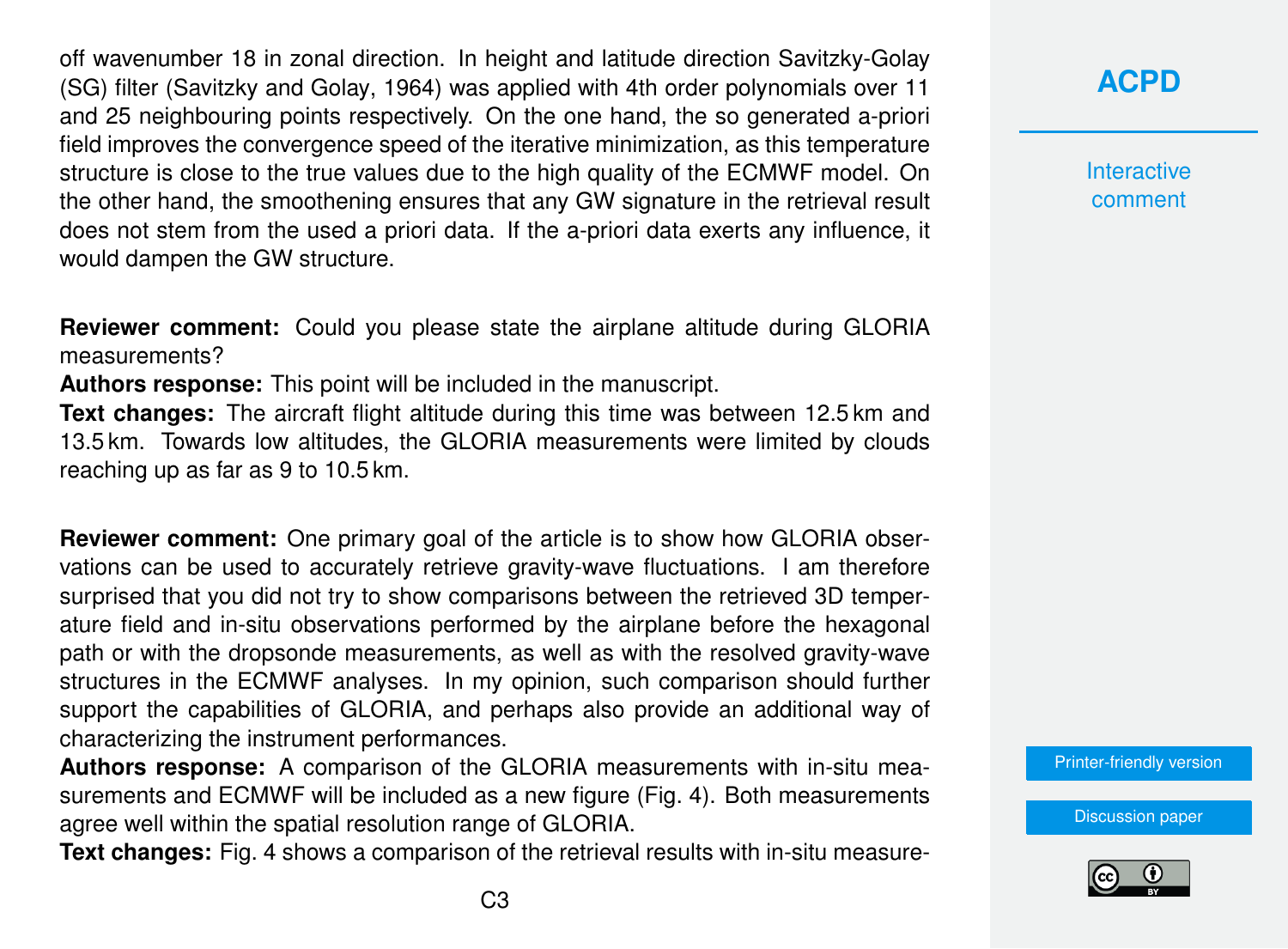off wavenumber 18 in zonal direction. In height and latitude direction Savitzky-Golay (SG) filter [\(Savitzky and Golay,](#page-5-0) [1964\)](#page-5-0) was applied with 4th order polynomials over 11 and 25 neighbouring points respectively. On the one hand, the so generated a-priori field improves the convergence speed of the iterative minimization, as this temperature structure is close to the true values due to the high quality of the ECMWF model. On the other hand, the smoothening ensures that any GW signature in the retrieval result does not stem from the used a priori data. If the a-priori data exerts any influence, it would dampen the GW structure.

**Reviewer comment:** Could you please state the airplane altitude during GLORIA measurements?

**Authors response:** This point will be included in the manuscript.

**Text changes:** The aircraft flight altitude during this time was between 12.5 km and 13.5 km. Towards low altitudes, the GLORIA measurements were limited by clouds reaching up as far as 9 to 10.5 km.

**Reviewer comment:** One primary goal of the article is to show how GLORIA observations can be used to accurately retrieve gravity-wave fluctuations. I am therefore surprised that you did not try to show comparisons between the retrieved 3D temperature field and in-situ observations performed by the airplane before the hexagonal path or with the dropsonde measurements, as well as with the resolved gravity-wave structures in the ECMWF analyses. In my opinion, such comparison should further support the capabilities of GLORIA, and perhaps also provide an additional way of characterizing the instrument performances.

**Authors response:** A comparison of the GLORIA measurements with in-situ measurements and ECMWF will be included as a new figure (Fig. 4). Both measurements agree well within the spatial resolution range of GLORIA.

**Text changes:** Fig. 4 shows a comparison of the retrieval results with in-situ measure-

### **[ACPD](https://www.atmos-chem-phys-discuss.net/)**

**Interactive** comment

[Printer-friendly version](https://www.atmos-chem-phys-discuss.net/acp-2017-644/acp-2017-644-AC3-print.pdf)

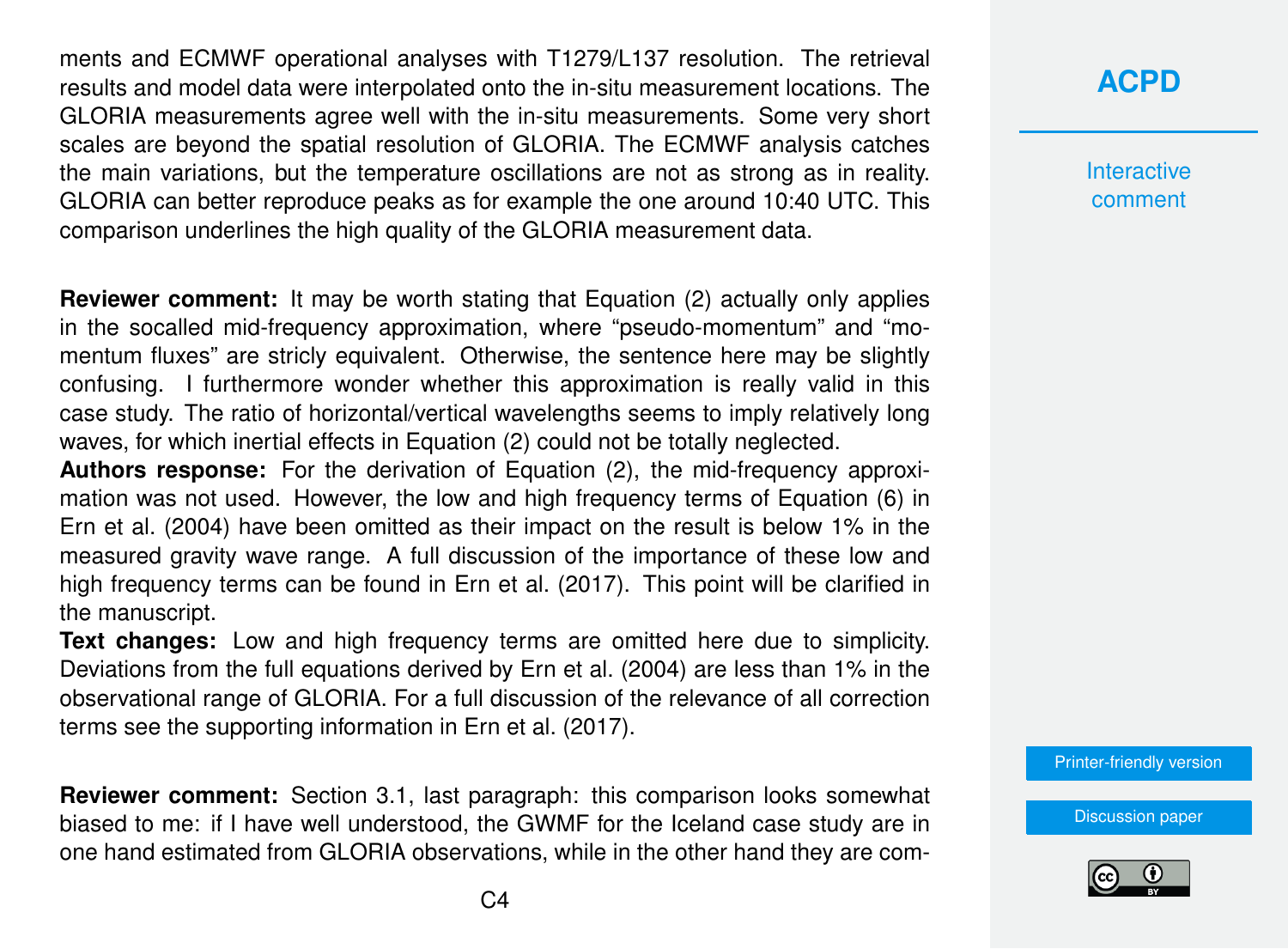ments and ECMWF operational analyses with T1279/L137 resolution. The retrieval results and model data were interpolated onto the in-situ measurement locations. The GLORIA measurements agree well with the in-situ measurements. Some very short scales are beyond the spatial resolution of GLORIA. The ECMWF analysis catches the main variations, but the temperature oscillations are not as strong as in reality. GLORIA can better reproduce peaks as for example the one around 10:40 UTC. This comparison underlines the high quality of the GLORIA measurement data.

**Reviewer comment:** It may be worth stating that Equation (2) actually only applies in the socalled mid-frequency approximation, where "pseudo-momentum" and "momentum fluxes" are stricly equivalent. Otherwise, the sentence here may be slightly confusing. I furthermore wonder whether this approximation is really valid in this case study. The ratio of horizontal/vertical wavelengths seems to imply relatively long waves, for which inertial effects in Equation (2) could not be totally neglected.

**Authors response:** For the derivation of Equation (2), the mid-frequency approximation was not used. However, the low and high frequency terms of Equation (6) in [Ern et al.](#page-5-0) [\(2004\)](#page-5-0) have been omitted as their impact on the result is below 1% in the measured gravity wave range. A full discussion of the importance of these low and high frequency terms can be found in [Ern et al.](#page-5-0) [\(2017\)](#page-5-0). This point will be clarified in the manuscript.

**Text changes:** Low and high frequency terms are omitted here due to simplicity. Deviations from the full equations derived by [Ern et al.](#page-5-0) [\(2004\)](#page-5-0) are less than 1% in the observational range of GLORIA. For a full discussion of the relevance of all correction terms see the supporting information in [Ern et al.](#page-5-0) [\(2017\)](#page-5-0).

**Reviewer comment:** Section 3.1, last paragraph: this comparison looks somewhat biased to me: if I have well understood, the GWMF for the Iceland case study are in one hand estimated from GLORIA observations, while in the other hand they are com**[ACPD](https://www.atmos-chem-phys-discuss.net/)**

**Interactive** comment

[Printer-friendly version](https://www.atmos-chem-phys-discuss.net/acp-2017-644/acp-2017-644-AC3-print.pdf)

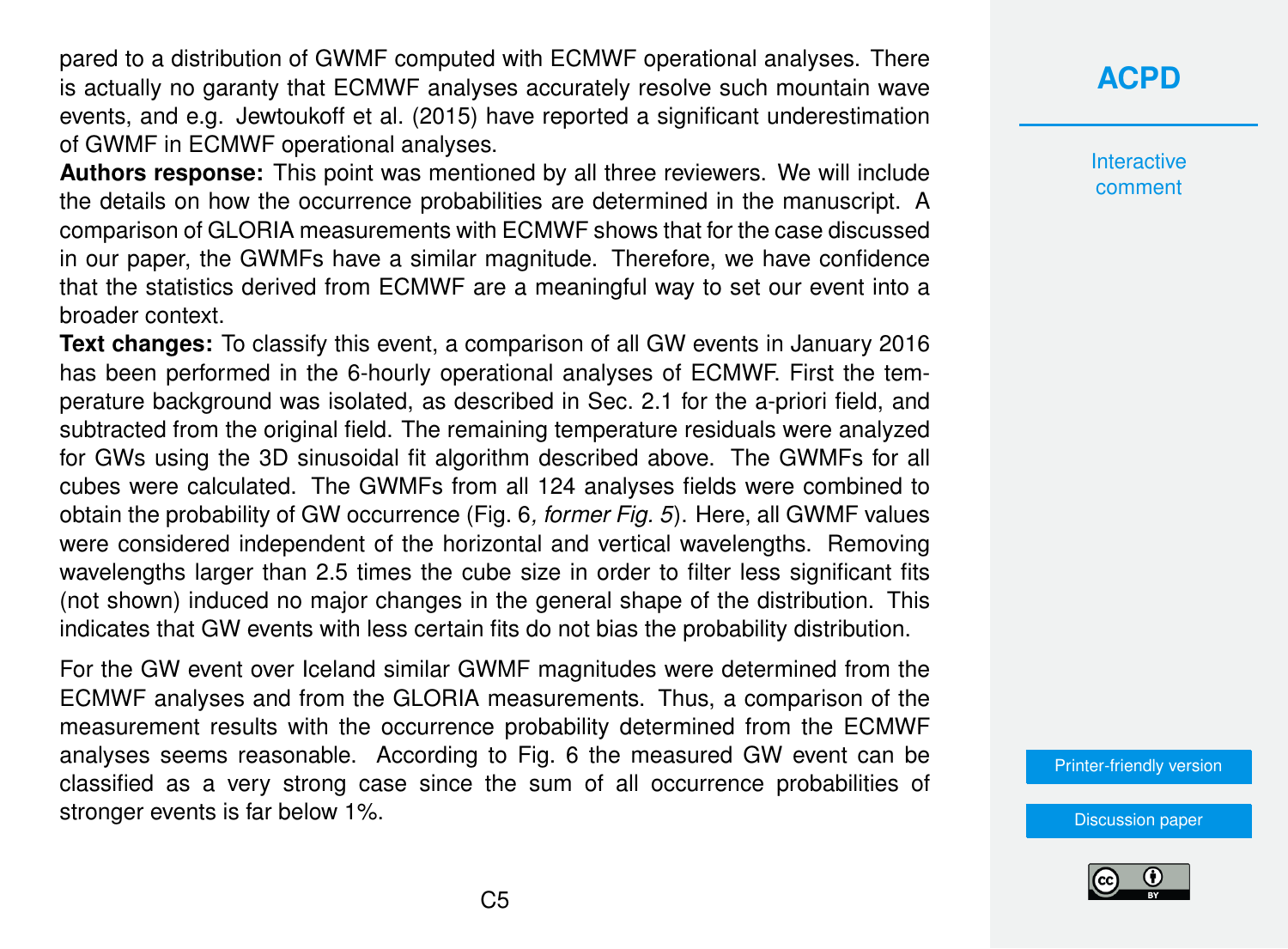pared to a distribution of GWMF computed with ECMWF operational analyses. There is actually no garanty that ECMWF analyses accurately resolve such mountain wave events, and e.g. [Jewtoukoff et al.](#page-5-0) [\(2015\)](#page-5-0) have reported a significant underestimation of GWMF in ECMWF operational analyses.

**Authors response:** This point was mentioned by all three reviewers. We will include the details on how the occurrence probabilities are determined in the manuscript. A comparison of GLORIA measurements with ECMWF shows that for the case discussed in our paper, the GWMFs have a similar magnitude. Therefore, we have confidence that the statistics derived from ECMWF are a meaningful way to set our event into a broader context.

**Text changes:** To classify this event, a comparison of all GW events in January 2016 has been performed in the 6-hourly operational analyses of ECMWF. First the temperature background was isolated, as described in Sec. 2.1 for the a-priori field, and subtracted from the original field. The remaining temperature residuals were analyzed for GWs using the 3D sinusoidal fit algorithm described above. The GWMFs for all cubes were calculated. The GWMFs from all 124 analyses fields were combined to obtain the probability of GW occurrence (Fig. 6*, former Fig. 5*). Here, all GWMF values were considered independent of the horizontal and vertical wavelengths. Removing wavelengths larger than 2.5 times the cube size in order to filter less significant fits (not shown) induced no major changes in the general shape of the distribution. This indicates that GW events with less certain fits do not bias the probability distribution.

For the GW event over Iceland similar GWMF magnitudes were determined from the ECMWF analyses and from the GLORIA measurements. Thus, a comparison of the measurement results with the occurrence probability determined from the ECMWF analyses seems reasonable. According to Fig. 6 the measured GW event can be classified as a very strong case since the sum of all occurrence probabilities of stronger events is far below 1%.

## **[ACPD](https://www.atmos-chem-phys-discuss.net/)**

Interactive comment

[Printer-friendly version](https://www.atmos-chem-phys-discuss.net/acp-2017-644/acp-2017-644-AC3-print.pdf)

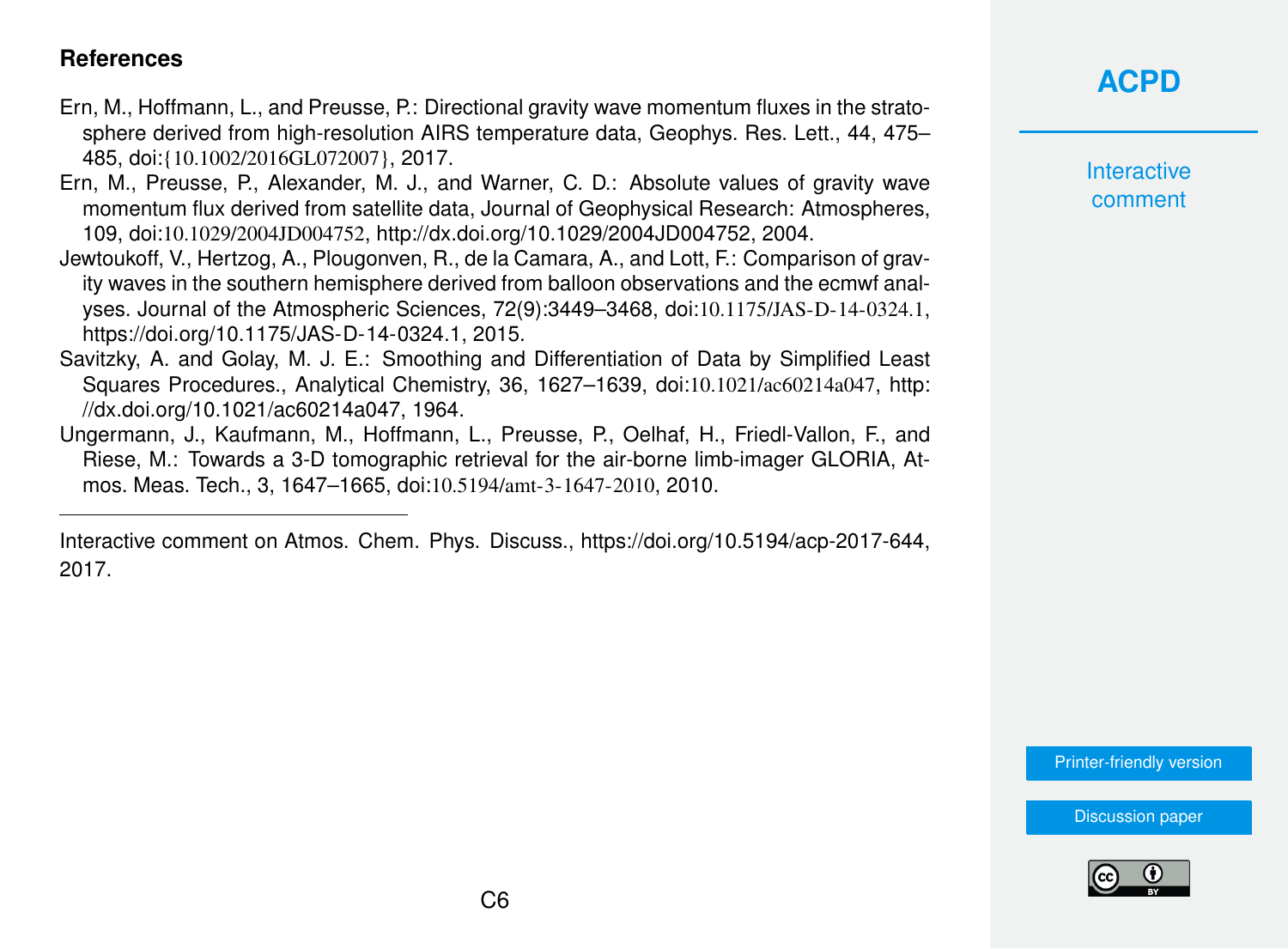#### <span id="page-5-0"></span>**References**

- Ern, M., Hoffmann, L., and Preusse, P.: Directional gravity wave momentum fluxes in the stratosphere derived from high-resolution AIRS temperature data, Geophys. Res. Lett., 44, 475– 485, doi:{10.1002/2016GL072007}, 2017.
- Ern, M., Preusse, P., Alexander, M. J., and Warner, C. D.: Absolute values of gravity wave momentum flux derived from satellite data, Journal of Geophysical Research: Atmospheres, 109, doi:10.1029/2004JD004752, [http://dx.doi.org/10.1029/2004JD004752,](http://dx.doi.org/10.1029/2004JD004752) 2004.
- Jewtoukoff, V., Hertzog, A., Plougonven, R., de la Camara, A., and Lott, F.: Comparison of gravity waves in the southern hemisphere derived from balloon observations and the ecmwf analyses. Journal of the Atmospheric Sciences, 72(9):3449–3468, doi:10.1175/JAS-D-14-0324.1, [https://doi.org/10.1175/JAS-D-14-0324.1,](https://doi.org/10.1175/JAS-D-14-0324.1) 2015.
- Savitzky, A. and Golay, M. J. E.: Smoothing and Differentiation of Data by Simplified Least Squares Procedures., Analytical Chemistry, 36, 1627–1639, doi:10.1021/ac60214a047, [http:](http://dx.doi.org/10.1021/ac60214a047) [//dx.doi.org/10.1021/ac60214a047,](http://dx.doi.org/10.1021/ac60214a047) 1964.
- Ungermann, J., Kaufmann, M., Hoffmann, L., Preusse, P., Oelhaf, H., Friedl-Vallon, F., and Riese, M.: Towards a 3-D tomographic retrieval for the air-borne limb-imager GLORIA, Atmos. Meas. Tech., 3, 1647–1665, doi:10.5194/amt-3-1647-2010, 2010.

Interactive comment on Atmos. Chem. Phys. Discuss., https://doi.org/10.5194/acp-2017-644, 2017.

## **[ACPD](https://www.atmos-chem-phys-discuss.net/)**

**Interactive** comment

[Printer-friendly version](https://www.atmos-chem-phys-discuss.net/acp-2017-644/acp-2017-644-AC3-print.pdf)